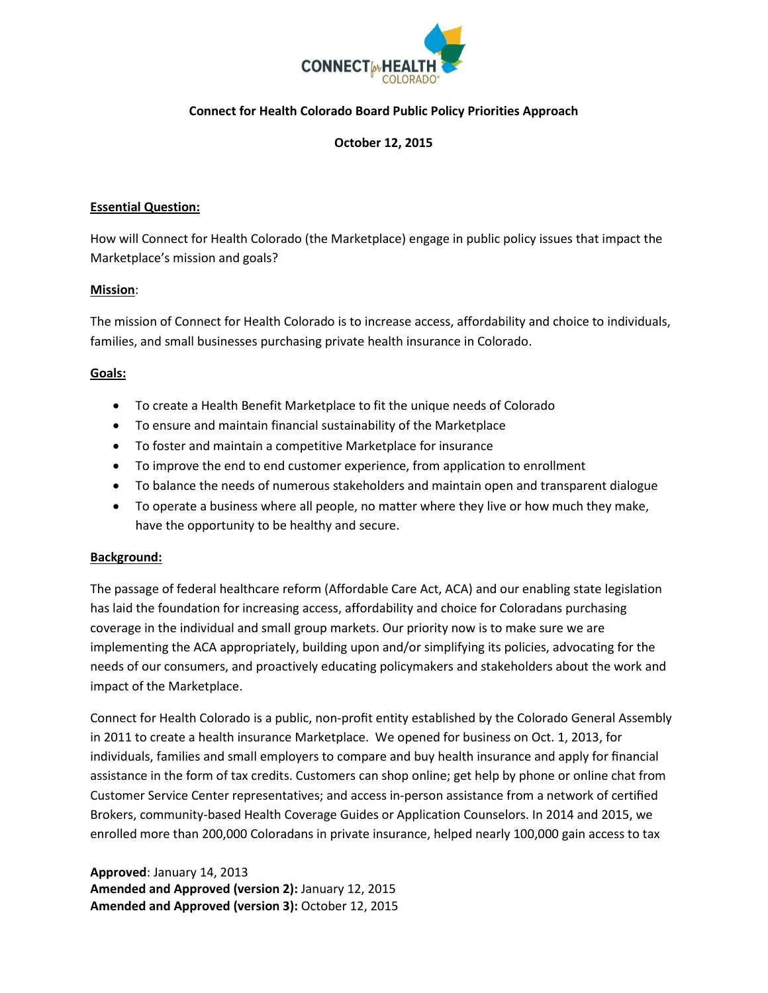

## **Connect for Health Colorado Board Public Policy Priorities Approach**

#### **October 12, 2015**

#### **Essential Question:**

How will Connect for Health Colorado (the Marketplace) engage in public policy issues that impact the Marketplace's mission and goals?

#### **Mission**:

The mission of Connect for Health Colorado is to increase access, affordability and choice to individuals, families, and small businesses purchasing private health insurance in Colorado.

#### **Goals:**

- To create a Health Benefit Marketplace to fit the unique needs of Colorado
- To ensure and maintain financial sustainability of the Marketplace
- To foster and maintain a competitive Marketplace for insurance
- To improve the end to end customer experience, from application to enrollment
- To balance the needs of numerous stakeholders and maintain open and transparent dialogue
- To operate a business where all people, no matter where they live or how much they make, have the opportunity to be healthy and secure.

#### **Background:**

The passage of federal healthcare reform (Affordable Care Act, ACA) and our enabling state legislation has laid the foundation for increasing access, affordability and choice for Coloradans purchasing coverage in the individual and small group markets. Our priority now is to make sure we are implementing the ACA appropriately, building upon and/or simplifying its policies, advocating for the needs of our consumers, and proactively educating policymakers and stakeholders about the work and impact of the Marketplace.

Connect for Health Colorado is a public, non-profit entity established by the Colorado General Assembly in 2011 to create a health insurance Marketplace. We opened for business on Oct. 1, 2013, for individuals, families and small employers to compare and buy health insurance and apply for financial assistance in the form of tax credits. Customers can shop online; get help by phone or online chat from Customer Service Center representatives; and access in-person assistance from a network of certified Brokers, community-based Health Coverage Guides or Application Counselors. In 2014 and 2015, we enrolled more than 200,000 Coloradans in private insurance, helped nearly 100,000 gain access to tax

**Approved**: January 14, 2013 **Amended and Approved (version 2):** January 12, 2015 **Amended and Approved (version 3):** October 12, 2015